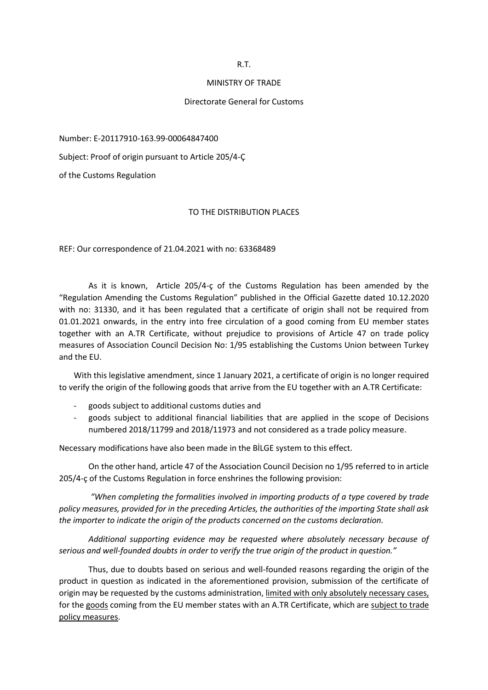R.T.

## MINISTRY OF TRADE

## Directorate General for Customs

Number: E-20117910-163.99-00064847400

Subject: Proof of origin pursuant to Article 205/4-Ç

of the Customs Regulation

## TO THE DISTRIBUTION PLACES

REF: Our correspondence of 21.04.2021 with no: 63368489

As it is known, Article 205/4-ç of the Customs Regulation has been amended by the "Regulation Amending the Customs Regulation" published in the Official Gazette dated 10.12.2020 with no: 31330, and it has been regulated that a certificate of origin shall not be required from 01.01.2021 onwards, in the entry into free circulation of a good coming from EU member states together with an A.TR Certificate, without prejudice to provisions of Article 47 on trade policy measures of Association Council Decision No: 1/95 establishing the Customs Union between Turkey and the EU.

With this legislative amendment, since 1 January 2021, a certificate of origin is no longer required to verify the origin of the following goods that arrive from the EU together with an A.TR Certificate:

- goods subject to additional customs duties and
- goods subject to additional financial liabilities that are applied in the scope of Decisions numbered 2018/11799 and 2018/11973 and not considered as a trade policy measure.

Necessary modifications have also been made in the BİLGE system to this effect.

On the other hand, article 47 of the Association Council Decision no 1/95 referred to in article 205/4-ç of the Customs Regulation in force enshrines the following provision:

*"When completing the formalities involved in importing products of a type covered by trade policy measures, provided for in the preceding Articles, the authorities of the importing State shall ask the importer to indicate the origin of the products concerned on the customs declaration.*

*Additional supporting evidence may be requested where absolutely necessary because of serious and well-founded doubts in order to verify the true origin of the product in question."*

Thus, due to doubts based on serious and well-founded reasons regarding the origin of the product in question as indicated in the aforementioned provision, submission of the certificate of origin may be requested by the customs administration, limited with only absolutely necessary cases, for the goods coming from the EU member states with an A.TR Certificate, which are subject to trade policy measures.